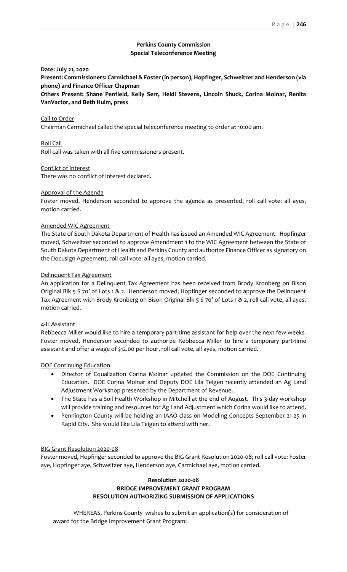# **Perkins County Commission Special Teleconference Meeting**

**Date: July 21, 2020**

**Present: Commissioners: Carmichael & Foster (in person), Hopfinger, Schweitzer and Henderson (via phone) and Finance Officer Chapman**

**Others Present: Shane Penfield, Kelly Serr, Heidi Stevens, Lincoln Shuck, Corina Molnar, Renita VanVactor, and Beth Hulm, press**

#### Call to Order

Chairman Carmichael called the special teleconference meeting to order at 10:00 am.

## Roll Call

Roll call was taken with all five commissioners present.

## Conflict of Interest

There was no conflict of interest declared.

## Approval of the Agenda

Foster moved, Henderson seconded to approve the agenda as presented, roll call vote: all ayes, motion carried.

### Amended WIC Agreement

The State of South Dakota Department of Health has issued an Amended WIC Agreement. Hopfinger moved, Schweitzer seconded to approve Amendment 1 to the WIC Agreement between the State of South Dakota Department of Health and Perkins County and authorize Finance Officer as signatory on the Docusign Agreement, roll call vote: all ayes, motion carried.

### Delinquent Tax Agreement

An application for a Delinquent Tax Agreement has been received from Brody Kronberg on Bison Original Blk 5 S 70' of Lots 1 & 2. Henderson moved, Hopfinger seconded to approve the Delinquent Tax Agreement with Brody Kronberg on Bison Original Blk 5 S 70' of Lots 1 & 2, roll call vote, all ayes, motion carried.

### 4-H Assistant

Rebbecca Miller would like to hire a temporary part-time assistant for help over the next few weeks. Foster moved, Henderson seconded to authorize Rebbecca Miller to hire a temporary part-time assistant and offer a wage of \$12.00 per hour, roll call vote, all ayes, motion carried.

### DOE Continuing Education

- Director of Equalization Corina Molnar updated the Commission on the DOE Continuing Education. DOE Corina Molnar and Deputy DOE Lila Teigen recently attended an Ag Land Adjustment Workshop presented by the Department of Revenue.
- The State has a Soil Health Workshop in Mitchell at the end of August. This 3-day workshop will provide training and resources for Ag Land Adjustment which Corina would like to attend.
- Pennington County will be holding an IAAO class on Modeling Concepts September 21-25 in Rapid City. She would like Lila Teigen to attend with her.

#### BIG Grant Resolution 2020-08

Foster moved, Hopfinger seconded to approve the BIG Grant Resolution 2020-08; roll call vote: Foster aye, Hopfinger aye, Schweitzer aye, Henderson aye, Carmichael aye, motion carried.

## **Resolution 2020-08 BRIDGE IMPROVEMENT GRANT PROGRAM RESOLUTION AUTHORIZING SUBMISSION OF APPLICATIONS**

WHEREAS, Perkins County wishes to submit an application(s) for consideration of award for the Bridge Improvement Grant Program: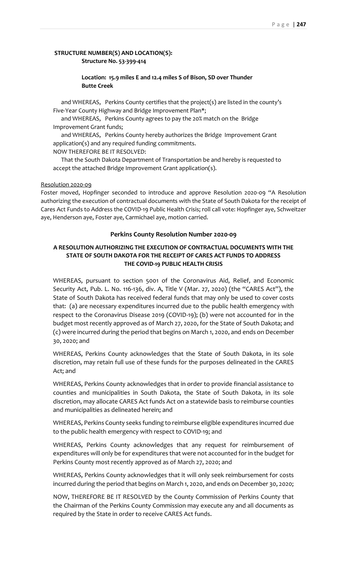# **STRUCTURE NUMBER(S) AND LOCATION(S): Structure No. 53-399-414**

## **Location: 15.9 miles E and 12.4 miles S of Bison, SD over Thunder Butte Creek**

and WHEREAS, Perkins County certifies that the project(s) are listed in the county's Five-Year County Highway and Bridge Improvement Plan\*;

and WHEREAS, Perkins County agrees to pay the 20% match on the Bridge Improvement Grant funds;

and WHEREAS, Perkins County hereby authorizes the Bridge Improvement Grant application(s) and any required funding commitments.

NOW THEREFORE BE IT RESOLVED:

That the South Dakota Department of Transportation be and hereby is requested to accept the attached Bridge Improvement Grant application(s).

### Resolution 2020-09

Foster moved, Hopfinger seconded to introduce and approve Resolution 2020-09 "A Resolution authorizing the execution of contractual documents with the State of South Dakota for the receipt of Cares Act Funds to Address the COVID-19 Public Health Crisis; roll call vote: Hopfinger aye, Schweitzer aye, Henderson aye, Foster aye, Carmichael aye, motion carried.

### **Perkins County Resolution Number 2020-09**

## **A RESOLUTION AUTHORIZING THE EXECUTION OF CONTRACTUAL DOCUMENTS WITH THE STATE OF SOUTH DAKOTA FOR THE RECEIPT OF CARES ACT FUNDS TO ADDRESS THE COVID-19 PUBLIC HEALTH CRISIS**

WHEREAS, pursuant to section 5001 of the Coronavirus Aid, Relief, and Economic Security Act, Pub. L. No. 116-136, div. A, Title V (Mar. 27, 2020) (the "CARES Act"), the State of South Dakota has received federal funds that may only be used to cover costs that: (a) are necessary expenditures incurred due to the public health emergency with respect to the Coronavirus Disease 2019 (COVID-19); (b) were not accounted for in the budget most recently approved as of March 27, 2020, for the State of South Dakota; and (c) were incurred during the period that begins on March 1, 2020, and ends on December 30, 2020; and

WHEREAS, Perkins County acknowledges that the State of South Dakota, in its sole discretion, may retain full use of these funds for the purposes delineated in the CARES Act; and

WHEREAS, Perkins County acknowledges that in order to provide financial assistance to counties and municipalities in South Dakota, the State of South Dakota, in its sole discretion, may allocate CARES Act funds Act on a statewide basis to reimburse counties and municipalities as delineated herein; and

WHEREAS, Perkins County seeks funding to reimburse eligible expenditures incurred due to the public health emergency with respect to COVID-19; and

WHEREAS, Perkins County acknowledges that any request for reimbursement of expenditures will only be for expenditures that were not accounted for in the budget for Perkins County most recently approved as of March 27, 2020; and

WHEREAS, Perkins County acknowledges that it will only seek reimbursement for costs incurred during the period that begins on March 1, 2020, and ends on December 30, 2020;

NOW, THEREFORE BE IT RESOLVED by the County Commission of Perkins County that the Chairman of the Perkins County Commission may execute any and all documents as required by the State in order to receive CARES Act funds.